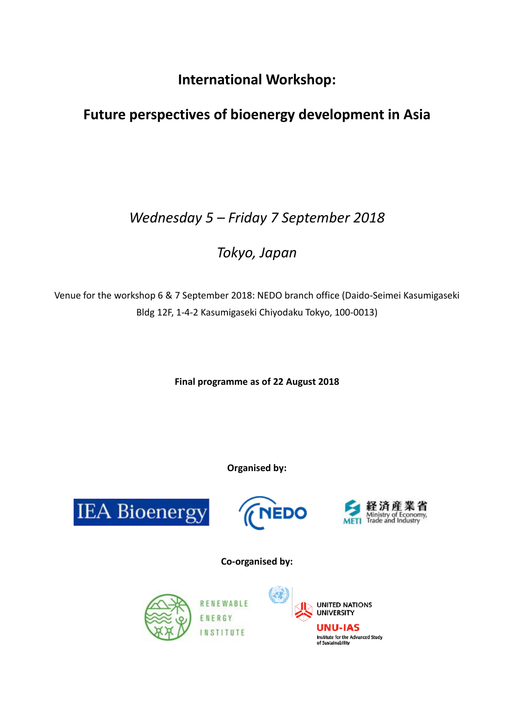**International Workshop:** 

# **Future perspectives of bioenergy development in Asia**

# *Wednesday 5 – Friday 7 September 2018*

# *Tokyo, Japan*

Venue for the workshop 6 & 7 September 2018: NEDO branch office (Daido-Seimei Kasumigaseki Bldg 12F, 1-4-2 Kasumigaseki Chiyodaku Tokyo, 100-0013)

**Final programme as of 22 August 2018**

**Organised by:**

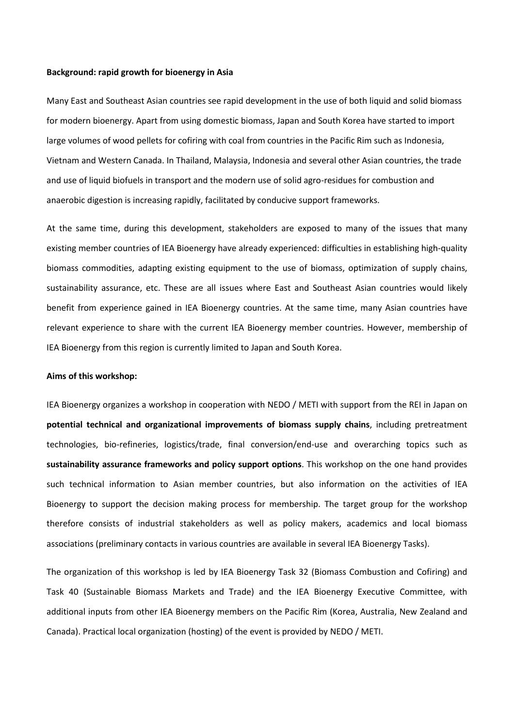#### **Background: rapid growth for bioenergy in Asia**

Many East and Southeast Asian countries see rapid development in the use of both liquid and solid biomass for modern bioenergy. Apart from using domestic biomass, Japan and South Korea have started to import large volumes of wood pellets for cofiring with coal from countries in the Pacific Rim such as Indonesia, Vietnam and Western Canada. In Thailand, Malaysia, Indonesia and several other Asian countries, the trade and use of liquid biofuels in transport and the modern use of solid agro-residues for combustion and anaerobic digestion is increasing rapidly, facilitated by conducive support frameworks.

At the same time, during this development, stakeholders are exposed to many of the issues that many existing member countries of IEA Bioenergy have already experienced: difficulties in establishing high-quality biomass commodities, adapting existing equipment to the use of biomass, optimization of supply chains, sustainability assurance, etc. These are all issues where East and Southeast Asian countries would likely benefit from experience gained in IEA Bioenergy countries. At the same time, many Asian countries have relevant experience to share with the current IEA Bioenergy member countries. However, membership of IEA Bioenergy from this region is currently limited to Japan and South Korea.

#### **Aims of this workshop:**

IEA Bioenergy organizes a workshop in cooperation with NEDO / METI with support from the REI in Japan on **potential technical and organizational improvements of biomass supply chains**, including pretreatment technologies, bio-refineries, logistics/trade, final conversion/end-use and overarching topics such as **sustainability assurance frameworks and policy support options**. This workshop on the one hand provides such technical information to Asian member countries, but also information on the activities of IEA Bioenergy to support the decision making process for membership. The target group for the workshop therefore consists of industrial stakeholders as well as policy makers, academics and local biomass associations (preliminary contacts in various countries are available in several IEA Bioenergy Tasks).

The organization of this workshop is led by IEA Bioenergy Task 32 (Biomass Combustion and Cofiring) and Task 40 (Sustainable Biomass Markets and Trade) and the IEA Bioenergy Executive Committee, with additional inputs from other IEA Bioenergy members on the Pacific Rim (Korea, Australia, New Zealand and Canada). Practical local organization (hosting) of the event is provided by NEDO / METI.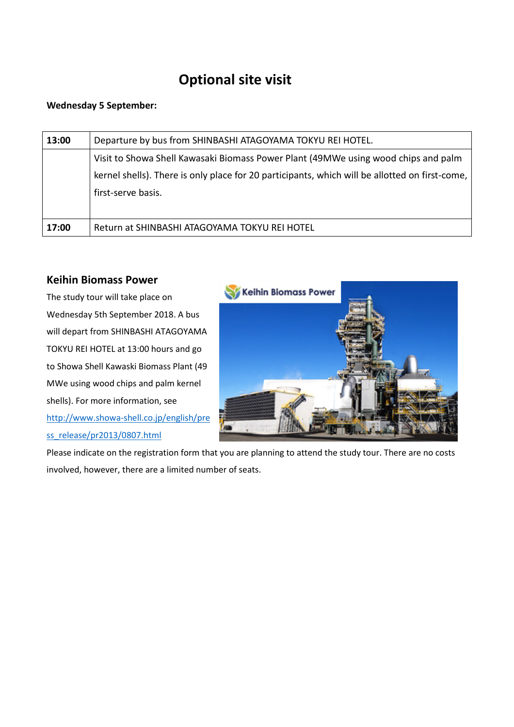## **Optional site visit**

### **Wednesday 5 September:**

| 13:00 | Departure by bus from SHINBASHI ATAGOYAMA TOKYU REI HOTEL.                                     |
|-------|------------------------------------------------------------------------------------------------|
|       | Visit to Showa Shell Kawasaki Biomass Power Plant (49MWe using wood chips and palm             |
|       | kernel shells). There is only place for 20 participants, which will be allotted on first-come, |
|       | first-serve basis.                                                                             |
|       |                                                                                                |
| 17:00 | Return at SHINBASHI ATAGOYAMA TOKYU REI HOTEL                                                  |

### **Keihin Biomass Power**

The study tour will take place on Wednesday 5th September 2018. A bus will depart from SHINBASHI ATAGOYAMA TOKYU REI HOTEL at 13:00 hours and go to Showa Shell Kawaski Biomass Plant (49 MWe using wood chips and palm kernel shells). For more information, see [http://www.showa-shell.co.jp/english/pre](http://www.showa-shell.co.jp/english/press_release/pr2013/0807.html) [ss\\_release/pr2013/0807.html](http://www.showa-shell.co.jp/english/press_release/pr2013/0807.html)



Please indicate on the registration form that you are planning to attend the study tour. There are no costs involved, however, there are a limited number of seats.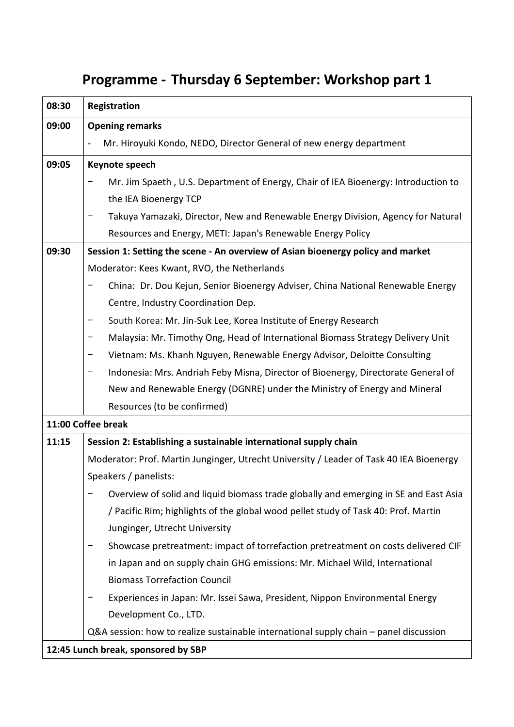# **Programme - Thursday 6 September: Workshop part 1**

| 08:30              | Registration                                                                            |  |  |
|--------------------|-----------------------------------------------------------------------------------------|--|--|
| 09:00              | <b>Opening remarks</b>                                                                  |  |  |
|                    | Mr. Hiroyuki Kondo, NEDO, Director General of new energy department                     |  |  |
| 09:05              | Keynote speech                                                                          |  |  |
|                    | Mr. Jim Spaeth, U.S. Department of Energy, Chair of IEA Bioenergy: Introduction to      |  |  |
|                    | the IEA Bioenergy TCP                                                                   |  |  |
|                    | Takuya Yamazaki, Director, New and Renewable Energy Division, Agency for Natural        |  |  |
|                    | Resources and Energy, METI: Japan's Renewable Energy Policy                             |  |  |
| 09:30              | Session 1: Setting the scene - An overview of Asian bioenergy policy and market         |  |  |
|                    | Moderator: Kees Kwant, RVO, the Netherlands                                             |  |  |
|                    | China: Dr. Dou Kejun, Senior Bioenergy Adviser, China National Renewable Energy<br>—    |  |  |
|                    | Centre, Industry Coordination Dep.                                                      |  |  |
|                    | South Korea: Mr. Jin-Suk Lee, Korea Institute of Energy Research<br>-                   |  |  |
|                    | Malaysia: Mr. Timothy Ong, Head of International Biomass Strategy Delivery Unit<br>-    |  |  |
|                    | Vietnam: Ms. Khanh Nguyen, Renewable Energy Advisor, Deloitte Consulting                |  |  |
|                    | Indonesia: Mrs. Andriah Feby Misna, Director of Bioenergy, Directorate General of<br>-  |  |  |
|                    | New and Renewable Energy (DGNRE) under the Ministry of Energy and Mineral               |  |  |
|                    | Resources (to be confirmed)                                                             |  |  |
| 11:00 Coffee break |                                                                                         |  |  |
| 11:15              | Session 2: Establishing a sustainable international supply chain                        |  |  |
|                    | Moderator: Prof. Martin Junginger, Utrecht University / Leader of Task 40 IEA Bioenergy |  |  |
|                    | Speakers / panelists:                                                                   |  |  |
|                    | Overview of solid and liquid biomass trade globally and emerging in SE and East Asia    |  |  |
|                    | / Pacific Rim; highlights of the global wood pellet study of Task 40: Prof. Martin      |  |  |
|                    | Junginger, Utrecht University                                                           |  |  |
|                    | Showcase pretreatment: impact of torrefaction pretreatment on costs delivered CIF       |  |  |
|                    | in Japan and on supply chain GHG emissions: Mr. Michael Wild, International             |  |  |
|                    | <b>Biomass Torrefaction Council</b>                                                     |  |  |
|                    | Experiences in Japan: Mr. Issei Sawa, President, Nippon Environmental Energy            |  |  |
|                    | Development Co., LTD.                                                                   |  |  |
|                    | Q&A session: how to realize sustainable international supply chain – panel discussion   |  |  |
|                    | 12:45 Lunch break, sponsored by SBP                                                     |  |  |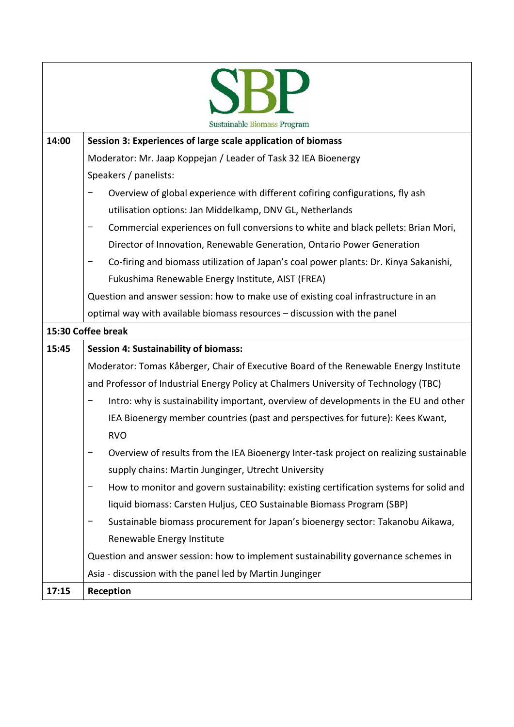|       | Sustainable Biomass Program                                                            |  |  |
|-------|----------------------------------------------------------------------------------------|--|--|
| 14:00 | Session 3: Experiences of large scale application of biomass                           |  |  |
|       | Moderator: Mr. Jaap Koppejan / Leader of Task 32 IEA Bioenergy                         |  |  |
|       | Speakers / panelists:                                                                  |  |  |
|       | Overview of global experience with different cofiring configurations, fly ash          |  |  |
|       | utilisation options: Jan Middelkamp, DNV GL, Netherlands                               |  |  |
|       | Commercial experiences on full conversions to white and black pellets: Brian Mori,     |  |  |
|       | Director of Innovation, Renewable Generation, Ontario Power Generation                 |  |  |
|       | Co-firing and biomass utilization of Japan's coal power plants: Dr. Kinya Sakanishi,   |  |  |
|       | Fukushima Renewable Energy Institute, AIST (FREA)                                      |  |  |
|       | Question and answer session: how to make use of existing coal infrastructure in an     |  |  |
|       | optimal way with available biomass resources - discussion with the panel               |  |  |
|       | 15:30 Coffee break                                                                     |  |  |
| 15:45 | <b>Session 4: Sustainability of biomass:</b>                                           |  |  |
|       | Moderator: Tomas Kåberger, Chair of Executive Board of the Renewable Energy Institute  |  |  |
|       | and Professor of Industrial Energy Policy at Chalmers University of Technology (TBC)   |  |  |
|       | Intro: why is sustainability important, overview of developments in the EU and other   |  |  |
|       | IEA Bioenergy member countries (past and perspectives for future): Kees Kwant,         |  |  |
|       | <b>RVO</b>                                                                             |  |  |
|       | Overview of results from the IEA Bioenergy Inter-task project on realizing sustainable |  |  |
|       | supply chains: Martin Junginger, Utrecht University                                    |  |  |
|       | How to monitor and govern sustainability: existing certification systems for solid and |  |  |
|       | liquid biomass: Carsten Huljus, CEO Sustainable Biomass Program (SBP)                  |  |  |
|       | Sustainable biomass procurement for Japan's bioenergy sector: Takanobu Aikawa,         |  |  |
|       | Renewable Energy Institute                                                             |  |  |
|       | Question and answer session: how to implement sustainability governance schemes in     |  |  |
|       | Asia - discussion with the panel led by Martin Junginger                               |  |  |
| 17:15 | Reception                                                                              |  |  |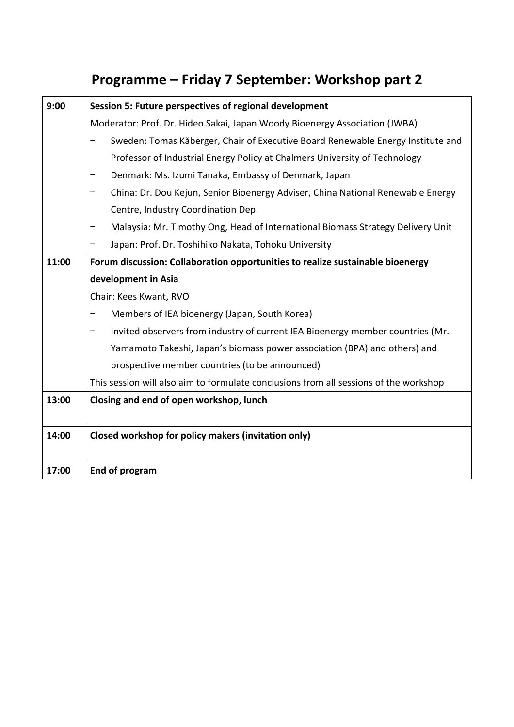# **Programme – Friday 7 September: Workshop part 2**

| 9:00  | Session 5: Future perspectives of regional development                                |
|-------|---------------------------------------------------------------------------------------|
|       | Moderator: Prof. Dr. Hideo Sakai, Japan Woody Bioenergy Association (JWBA)            |
|       | Sweden: Tomas Kåberger, Chair of Executive Board Renewable Energy Institute and       |
|       | Professor of Industrial Energy Policy at Chalmers University of Technology            |
|       | Denmark: Ms. Izumi Tanaka, Embassy of Denmark, Japan                                  |
|       | China: Dr. Dou Kejun, Senior Bioenergy Adviser, China National Renewable Energy       |
|       | Centre, Industry Coordination Dep.                                                    |
|       | Malaysia: Mr. Timothy Ong, Head of International Biomass Strategy Delivery Unit       |
|       | Japan: Prof. Dr. Toshihiko Nakata, Tohoku University                                  |
| 11:00 | Forum discussion: Collaboration opportunities to realize sustainable bioenergy        |
|       | development in Asia                                                                   |
|       | Chair: Kees Kwant, RVO                                                                |
|       | Members of IEA bioenergy (Japan, South Korea)                                         |
|       | Invited observers from industry of current IEA Bioenergy member countries (Mr.        |
|       | Yamamoto Takeshi, Japan's biomass power association (BPA) and others) and             |
|       | prospective member countries (to be announced)                                        |
|       | This session will also aim to formulate conclusions from all sessions of the workshop |
| 13:00 | Closing and end of open workshop, lunch                                               |
|       |                                                                                       |
| 14:00 | Closed workshop for policy makers (invitation only)                                   |
|       |                                                                                       |
| 17:00 | End of program                                                                        |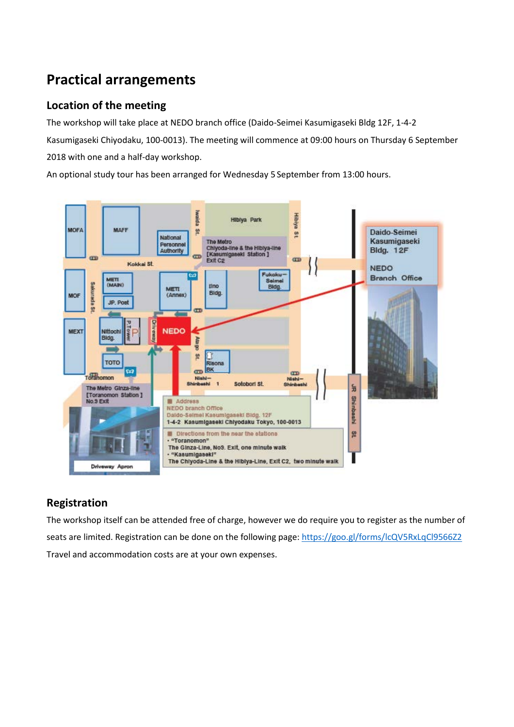# **Practical arrangements**

### **Location of the meeting**

The workshop will take place at NEDO branch office (Daido-Seimei Kasumigaseki Bldg 12F, 1-4-2 Kasumigaseki Chiyodaku, 100-0013). The meeting will commence at 09:00 hours on Thursday 6 September 2018 with one and a half-day workshop.

An optional study tour has been arranged for Wednesday 5 September from 13:00 hours.



### **Registration**

The workshop itself can be attended free of charge, however we do require you to register as the number of seats are limited. Registration can be done on the following page:<https://goo.gl/forms/lcQV5RxLqCl9566Z2> Travel and accommodation costs are at your own expenses.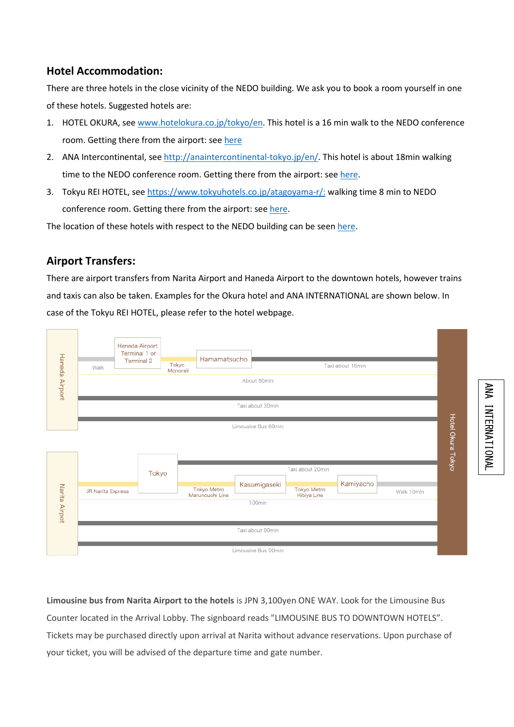### **Hotel Accommodation:**

There are three hotels in the close vicinity of the NEDO building. We ask you to book a room yourself in one of these hotels. Suggested hotels are:

- 1. HOTEL OKURA, see [www.hotelokura.co.jp/tokyo/en.](http://www.hotelokura.co.jp/tokyo/en) This hotel is a 16 min walk to the NEDO conference room. Getting there from the airport: se[e here](http://www.hotelokura.co.jp/tokyo/en/location/)
- 2. ANA Intercontinental, see [http://anaintercontinental-tokyo.jp/en/.](http://anaintercontinental-tokyo.jp/en/) This hotel is about 18min walking time to the NEDO conference room. Getting there from the airport: se[e here.](http://anaintercontinental-tokyo.jp/en/access/)
- 3. Tokyu REI HOTEL, se[e https://www.tokyuhotels.co.jp/atagoyama-r/:](https://www.tokyuhotels.co.jp/atagoyama-r/) walking time 8 min to NEDO conference room. Getting there from the airport: see [here.](https://www.tokyuhotelsjapan.com/global/atagoyama-r/access/index.html)

The location of these hotels with respect to the NEDO building can be see[n here.](https://drive.google.com/open?id=1Hqo9s9uz0Z14AXRCTTm5i60OySHnF7mX&usp=sharing)

### **Airport Transfers:**

There are airport transfers from Narita Airport and Haneda Airport to the downtown hotels, however trains and taxis can also be taken. Examples for the Okura hotel and ANA INTERNATIONAL are shown below. In case of the Tokyu REI HOTEL, please refer to the hotel webpage.



**Limousine bus from Narita Airport to the hotels** is JPN 3,100yen ONE WAY. Look for the Limousine Bus Counter located in the Arrival Lobby. The signboard reads "LIMOUSINE BUS TO DOWNTOWN HOTELS". Tickets may be purchased directly upon arrival at Narita without advance reservations. Upon purchase of your ticket, you will be advised of the departure time and gate number.